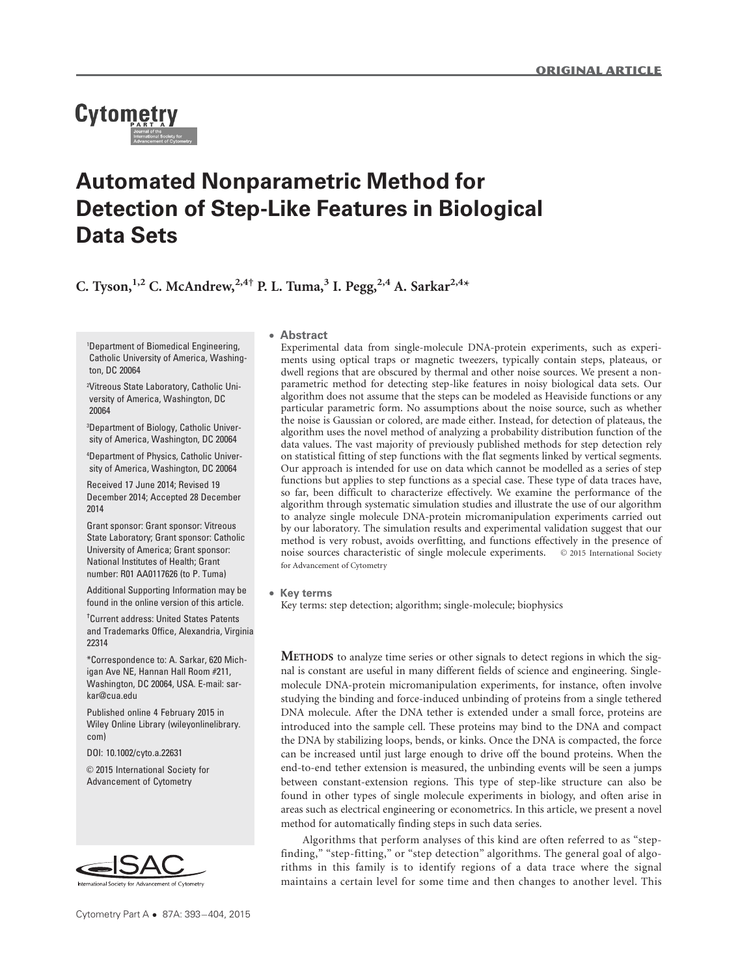# **Cytometry**

# Automated Nonparametric Method for Detection of Step-Like Features in Biological Data Sets

C. Tyson,<sup>1,2</sup> C. McAndrew,<sup>2,4†</sup> P. L. Tuma,<sup>3</sup> I. Pegg,<sup>2,4</sup> A. Sarkar<sup>2,4\*</sup>

1 Department of Biomedical Engineering, Catholic University of America, Washington, DC 20064

2 Vitreous State Laboratory, Catholic University of America, Washington, DC 20064

3 Department of Biology, Catholic University of America, Washington, DC 20064

4 Department of Physics, Catholic University of America, Washington, DC 20064

Received 17 June 2014; Revised 19 December 2014; Accepted 28 December 2014

Grant sponsor: Grant sponsor: Vitreous State Laboratory; Grant sponsor: Catholic University of America; Grant sponsor: National Institutes of Health; Grant number: R01 AA0117626 (to P. Tuma)

Additional Supporting Information may be found in the online version of this article.

† Current address: United States Patents and Trademarks Office, Alexandria, Virginia 22314

\*Correspondence to: A. Sarkar, 620 Michigan Ave NE, Hannan Hall Room #211, Washington, DC 20064, USA. E-mail: sarkar@cua.edu

Published online 4 February 2015 in Wiley Online Library (wileyonlinelibrary. com)

DOI: 10.1002/cyto.a.22631

 $©$  2015 International Society for Advancement of Cytometry



# - Abstract

Experimental data from single-molecule DNA-protein experiments, such as experiments using optical traps or magnetic tweezers, typically contain steps, plateaus, or dwell regions that are obscured by thermal and other noise sources. We present a nonparametric method for detecting step-like features in noisy biological data sets. Our algorithm does not assume that the steps can be modeled as Heaviside functions or any particular parametric form. No assumptions about the noise source, such as whether the noise is Gaussian or colored, are made either. Instead, for detection of plateaus, the algorithm uses the novel method of analyzing a probability distribution function of the data values. The vast majority of previously published methods for step detection rely on statistical fitting of step functions with the flat segments linked by vertical segments. Our approach is intended for use on data which cannot be modelled as a series of step functions but applies to step functions as a special case. These type of data traces have, so far, been difficult to characterize effectively. We examine the performance of the algorithm through systematic simulation studies and illustrate the use of our algorithm to analyze single molecule DNA-protein micromanipulation experiments carried out by our laboratory. The simulation results and experimental validation suggest that our method is very robust, avoids overfitting, and functions effectively in the presence of noise sources characteristic of single molecule experiments.  $\circ$  2015 International Society noise sources characteristic of single molecule experiments. for Advancement of Cytometry

• Key terms

Key terms: step detection; algorithm; single-molecule; biophysics

METHODS to analyze time series or other signals to detect regions in which the signal is constant are useful in many different fields of science and engineering. Singlemolecule DNA-protein micromanipulation experiments, for instance, often involve studying the binding and force-induced unbinding of proteins from a single tethered DNA molecule. After the DNA tether is extended under a small force, proteins are introduced into the sample cell. These proteins may bind to the DNA and compact the DNA by stabilizing loops, bends, or kinks. Once the DNA is compacted, the force can be increased until just large enough to drive off the bound proteins. When the end-to-end tether extension is measured, the unbinding events will be seen a jumps between constant-extension regions. This type of step-like structure can also be found in other types of single molecule experiments in biology, and often arise in areas such as electrical engineering or econometrics. In this article, we present a novel method for automatically finding steps in such data series.

Algorithms that perform analyses of this kind are often referred to as "stepfinding," "step-fitting," or "step detection" algorithms. The general goal of algorithms in this family is to identify regions of a data trace where the signal maintains a certain level for some time and then changes to another level. This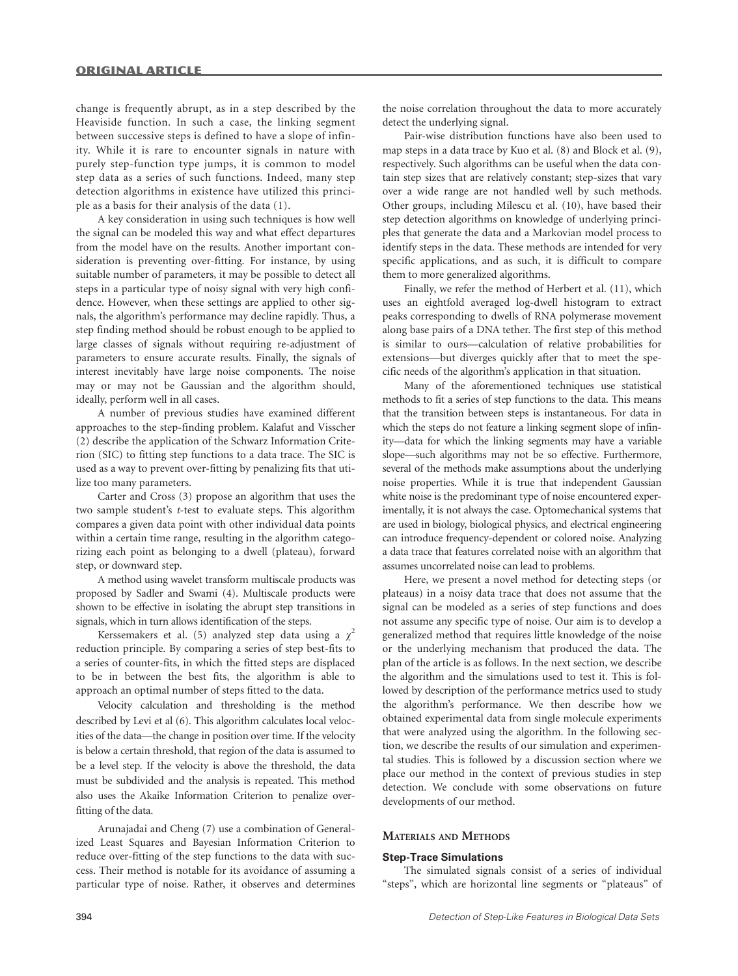change is frequently abrupt, as in a step described by the Heaviside function. In such a case, the linking segment between successive steps is defined to have a slope of infinity. While it is rare to encounter signals in nature with purely step-function type jumps, it is common to model step data as a series of such functions. Indeed, many step detection algorithms in existence have utilized this principle as a basis for their analysis of the data (1).

A key consideration in using such techniques is how well the signal can be modeled this way and what effect departures from the model have on the results. Another important consideration is preventing over-fitting. For instance, by using suitable number of parameters, it may be possible to detect all steps in a particular type of noisy signal with very high confidence. However, when these settings are applied to other signals, the algorithm's performance may decline rapidly. Thus, a step finding method should be robust enough to be applied to large classes of signals without requiring re-adjustment of parameters to ensure accurate results. Finally, the signals of interest inevitably have large noise components. The noise may or may not be Gaussian and the algorithm should, ideally, perform well in all cases.

A number of previous studies have examined different approaches to the step-finding problem. Kalafut and Visscher (2) describe the application of the Schwarz Information Criterion (SIC) to fitting step functions to a data trace. The SIC is used as a way to prevent over-fitting by penalizing fits that utilize too many parameters.

Carter and Cross (3) propose an algorithm that uses the two sample student's t-test to evaluate steps. This algorithm compares a given data point with other individual data points within a certain time range, resulting in the algorithm categorizing each point as belonging to a dwell (plateau), forward step, or downward step.

A method using wavelet transform multiscale products was proposed by Sadler and Swami (4). Multiscale products were shown to be effective in isolating the abrupt step transitions in signals, which in turn allows identification of the steps.

Kerssemakers et al. (5) analyzed step data using a  $\chi^2$ reduction principle. By comparing a series of step best-fits to a series of counter-fits, in which the fitted steps are displaced to be in between the best fits, the algorithm is able to approach an optimal number of steps fitted to the data.

Velocity calculation and thresholding is the method described by Levi et al (6). This algorithm calculates local velocities of the data—the change in position over time. If the velocity is below a certain threshold, that region of the data is assumed to be a level step. If the velocity is above the threshold, the data must be subdivided and the analysis is repeated. This method also uses the Akaike Information Criterion to penalize overfitting of the data.

Arunajadai and Cheng (7) use a combination of Generalized Least Squares and Bayesian Information Criterion to reduce over-fitting of the step functions to the data with success. Their method is notable for its avoidance of assuming a particular type of noise. Rather, it observes and determines

the noise correlation throughout the data to more accurately detect the underlying signal.

Pair-wise distribution functions have also been used to map steps in a data trace by Kuo et al. (8) and Block et al. (9), respectively. Such algorithms can be useful when the data contain step sizes that are relatively constant; step-sizes that vary over a wide range are not handled well by such methods. Other groups, including Milescu et al. (10), have based their step detection algorithms on knowledge of underlying principles that generate the data and a Markovian model process to identify steps in the data. These methods are intended for very specific applications, and as such, it is difficult to compare them to more generalized algorithms.

Finally, we refer the method of Herbert et al. (11), which uses an eightfold averaged log-dwell histogram to extract peaks corresponding to dwells of RNA polymerase movement along base pairs of a DNA tether. The first step of this method is similar to ours—calculation of relative probabilities for extensions—but diverges quickly after that to meet the specific needs of the algorithm's application in that situation.

Many of the aforementioned techniques use statistical methods to fit a series of step functions to the data. This means that the transition between steps is instantaneous. For data in which the steps do not feature a linking segment slope of infinity—data for which the linking segments may have a variable slope—such algorithms may not be so effective. Furthermore, several of the methods make assumptions about the underlying noise properties. While it is true that independent Gaussian white noise is the predominant type of noise encountered experimentally, it is not always the case. Optomechanical systems that are used in biology, biological physics, and electrical engineering can introduce frequency-dependent or colored noise. Analyzing a data trace that features correlated noise with an algorithm that assumes uncorrelated noise can lead to problems.

Here, we present a novel method for detecting steps (or plateaus) in a noisy data trace that does not assume that the signal can be modeled as a series of step functions and does not assume any specific type of noise. Our aim is to develop a generalized method that requires little knowledge of the noise or the underlying mechanism that produced the data. The plan of the article is as follows. In the next section, we describe the algorithm and the simulations used to test it. This is followed by description of the performance metrics used to study the algorithm's performance. We then describe how we obtained experimental data from single molecule experiments that were analyzed using the algorithm. In the following section, we describe the results of our simulation and experimental studies. This is followed by a discussion section where we place our method in the context of previous studies in step detection. We conclude with some observations on future developments of our method.

# MATERIALS AND METHODS

#### Step-Trace Simulations

The simulated signals consist of a series of individual "steps", which are horizontal line segments or "plateaus" of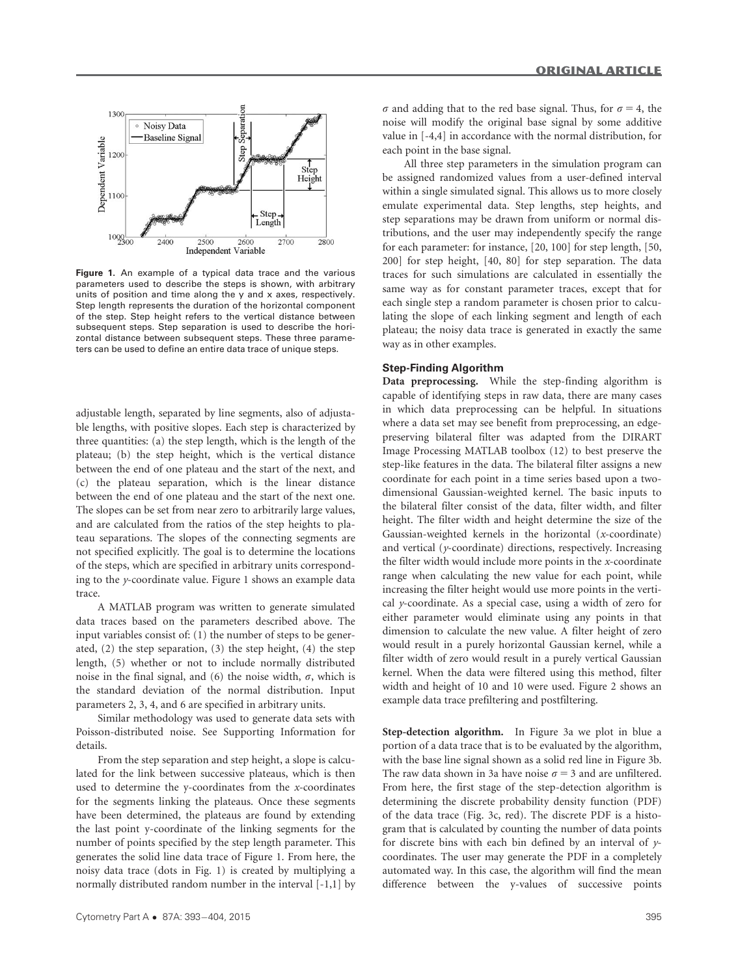

Figure 1. An example of a typical data trace and the various parameters used to describe the steps is shown, with arbitrary units of position and time along the y and x axes, respectively. Step length represents the duration of the horizontal component of the step. Step height refers to the vertical distance between subsequent steps. Step separation is used to describe the horizontal distance between subsequent steps. These three parameters can be used to define an entire data trace of unique steps.

adjustable length, separated by line segments, also of adjustable lengths, with positive slopes. Each step is characterized by three quantities: (a) the step length, which is the length of the plateau; (b) the step height, which is the vertical distance between the end of one plateau and the start of the next, and (c) the plateau separation, which is the linear distance between the end of one plateau and the start of the next one. The slopes can be set from near zero to arbitrarily large values, and are calculated from the ratios of the step heights to plateau separations. The slopes of the connecting segments are not specified explicitly. The goal is to determine the locations of the steps, which are specified in arbitrary units corresponding to the y-coordinate value. Figure 1 shows an example data trace.

A MATLAB program was written to generate simulated data traces based on the parameters described above. The input variables consist of: (1) the number of steps to be generated, (2) the step separation, (3) the step height, (4) the step length, (5) whether or not to include normally distributed noise in the final signal, and (6) the noise width,  $\sigma$ , which is the standard deviation of the normal distribution. Input parameters 2, 3, 4, and 6 are specified in arbitrary units.

Similar methodology was used to generate data sets with Poisson-distributed noise. See Supporting Information for details.

From the step separation and step height, a slope is calculated for the link between successive plateaus, which is then used to determine the y-coordinates from the x-coordinates for the segments linking the plateaus. Once these segments have been determined, the plateaus are found by extending the last point y-coordinate of the linking segments for the number of points specified by the step length parameter. This generates the solid line data trace of Figure 1. From here, the noisy data trace (dots in Fig. 1) is created by multiplying a normally distributed random number in the interval [-1,1] by

 $\sigma$  and adding that to the red base signal. Thus, for  $\sigma = 4$ , the noise will modify the original base signal by some additive value in [-4,4] in accordance with the normal distribution, for each point in the base signal.

All three step parameters in the simulation program can be assigned randomized values from a user-defined interval within a single simulated signal. This allows us to more closely emulate experimental data. Step lengths, step heights, and step separations may be drawn from uniform or normal distributions, and the user may independently specify the range for each parameter: for instance, [20, 100] for step length, [50, 200] for step height, [40, 80] for step separation. The data traces for such simulations are calculated in essentially the same way as for constant parameter traces, except that for each single step a random parameter is chosen prior to calculating the slope of each linking segment and length of each plateau; the noisy data trace is generated in exactly the same way as in other examples.

## Step-Finding Algorithm

Data preprocessing. While the step-finding algorithm is capable of identifying steps in raw data, there are many cases in which data preprocessing can be helpful. In situations where a data set may see benefit from preprocessing, an edgepreserving bilateral filter was adapted from the DIRART Image Processing MATLAB toolbox (12) to best preserve the step-like features in the data. The bilateral filter assigns a new coordinate for each point in a time series based upon a twodimensional Gaussian-weighted kernel. The basic inputs to the bilateral filter consist of the data, filter width, and filter height. The filter width and height determine the size of the Gaussian-weighted kernels in the horizontal (x-coordinate) and vertical (y-coordinate) directions, respectively. Increasing the filter width would include more points in the  $x$ -coordinate range when calculating the new value for each point, while increasing the filter height would use more points in the vertical  $y$ -coordinate. As a special case, using a width of zero for either parameter would eliminate using any points in that dimension to calculate the new value. A filter height of zero would result in a purely horizontal Gaussian kernel, while a filter width of zero would result in a purely vertical Gaussian kernel. When the data were filtered using this method, filter width and height of 10 and 10 were used. Figure 2 shows an example data trace prefiltering and postfiltering.

Step-detection algorithm. In Figure 3a we plot in blue a portion of a data trace that is to be evaluated by the algorithm, with the base line signal shown as a solid red line in Figure 3b. The raw data shown in 3a have noise  $\sigma = 3$  and are unfiltered. From here, the first stage of the step-detection algorithm is determining the discrete probability density function (PDF) of the data trace (Fig. 3c, red). The discrete PDF is a histogram that is calculated by counting the number of data points for discrete bins with each bin defined by an interval of  $y$ coordinates. The user may generate the PDF in a completely automated way. In this case, the algorithm will find the mean difference between the y-values of successive points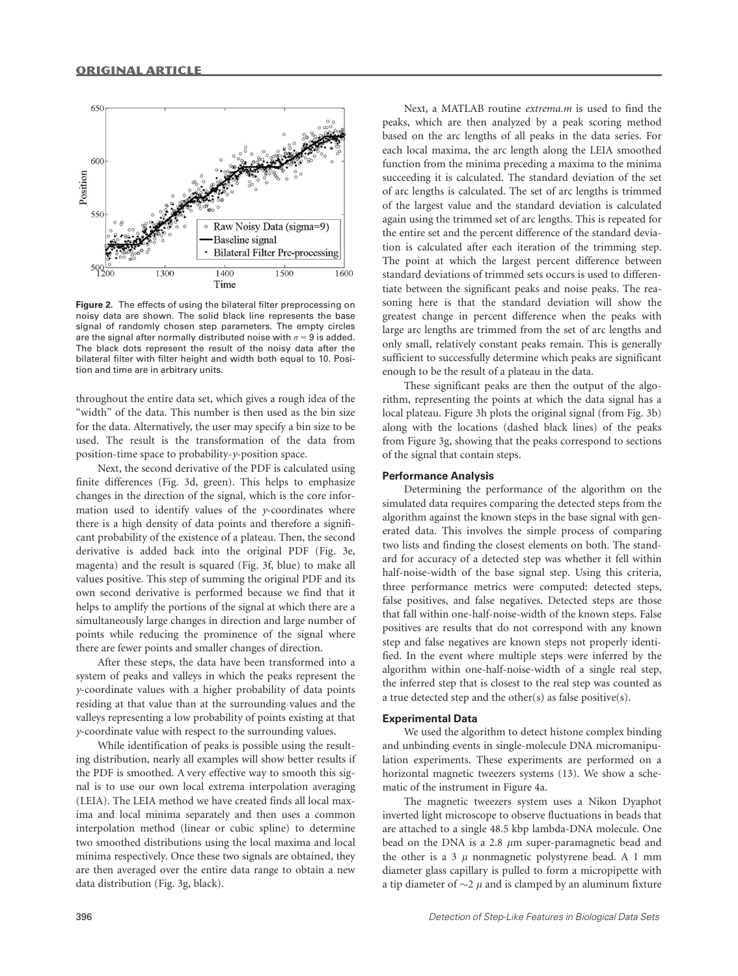

Figure 2. The effects of using the bilateral filter preprocessing on noisy data are shown. The solid black line represents the base signal of randomly chosen step parameters. The empty circles are the signal after normally distributed noise with  $\sigma = 9$  is added. The black dots represent the result of the noisy data after the bilateral filter with filter height and width both equal to 10. Position and time are in arbitrary units.

throughout the entire data set, which gives a rough idea of the "width" of the data. This number is then used as the bin size for the data. Alternatively, the user may specify a bin size to be used. The result is the transformation of the data from position-time space to probability-y-position space.

Next, the second derivative of the PDF is calculated using finite differences (Fig. 3d, green). This helps to emphasize changes in the direction of the signal, which is the core information used to identify values of the  $y$ -coordinates where there is a high density of data points and therefore a significant probability of the existence of a plateau. Then, the second derivative is added back into the original PDF (Fig. 3e, magenta) and the result is squared (Fig. 3f, blue) to make all values positive. This step of summing the original PDF and its own second derivative is performed because we find that it helps to amplify the portions of the signal at which there are a simultaneously large changes in direction and large number of points while reducing the prominence of the signal where there are fewer points and smaller changes of direction.

After these steps, the data have been transformed into a system of peaks and valleys in which the peaks represent the y-coordinate values with a higher probability of data points residing at that value than at the surrounding values and the valleys representing a low probability of points existing at that y-coordinate value with respect to the surrounding values.

While identification of peaks is possible using the resulting distribution, nearly all examples will show better results if the PDF is smoothed. A very effective way to smooth this signal is to use our own local extrema interpolation averaging (LEIA). The LEIA method we have created finds all local maxima and local minima separately and then uses a common interpolation method (linear or cubic spline) to determine two smoothed distributions using the local maxima and local minima respectively. Once these two signals are obtained, they are then averaged over the entire data range to obtain a new data distribution (Fig. 3g, black).

Next, a MATLAB routine extrema.m is used to find the peaks, which are then analyzed by a peak scoring method based on the arc lengths of all peaks in the data series. For each local maxima, the arc length along the LEIA smoothed function from the minima preceding a maxima to the minima succeeding it is calculated. The standard deviation of the set of arc lengths is calculated. The set of arc lengths is trimmed of the largest value and the standard deviation is calculated again using the trimmed set of arc lengths. This is repeated for the entire set and the percent difference of the standard deviation is calculated after each iteration of the trimming step. The point at which the largest percent difference between standard deviations of trimmed sets occurs is used to differentiate between the significant peaks and noise peaks. The reasoning here is that the standard deviation will show the greatest change in percent difference when the peaks with large arc lengths are trimmed from the set of arc lengths and only small, relatively constant peaks remain. This is generally sufficient to successfully determine which peaks are significant enough to be the result of a plateau in the data.

These significant peaks are then the output of the algorithm, representing the points at which the data signal has a local plateau. Figure 3h plots the original signal (from Fig. 3b) along with the locations (dashed black lines) of the peaks from Figure 3g, showing that the peaks correspond to sections of the signal that contain steps.

#### Performance Analysis

Determining the performance of the algorithm on the simulated data requires comparing the detected steps from the algorithm against the known steps in the base signal with generated data. This involves the simple process of comparing two lists and finding the closest elements on both. The standard for accuracy of a detected step was whether it fell within half-noise-width of the base signal step. Using this criteria, three performance metrics were computed: detected steps, false positives, and false negatives. Detected steps are those that fall within one-half-noise-width of the known steps. False positives are results that do not correspond with any known step and false negatives are known steps not properly identified. In the event where multiple steps were inferred by the algorithm within one-half-noise-width of a single real step, the inferred step that is closest to the real step was counted as a true detected step and the other(s) as false positive(s).

#### Experimental Data

We used the algorithm to detect histone complex binding and unbinding events in single-molecule DNA micromanipulation experiments. These experiments are performed on a horizontal magnetic tweezers systems (13). We show a schematic of the instrument in Figure 4a.

The magnetic tweezers system uses a Nikon Dyaphot inverted light microscope to observe fluctuations in beads that are attached to a single 48.5 kbp lambda-DNA molecule. One bead on the DNA is a 2.8  $\mu$ m super-paramagnetic bead and the other is a 3  $\mu$  nonmagnetic polystyrene bead. A 1 mm diameter glass capillary is pulled to form a micropipette with a tip diameter of  $\sim$ 2  $\mu$  and is clamped by an aluminum fixture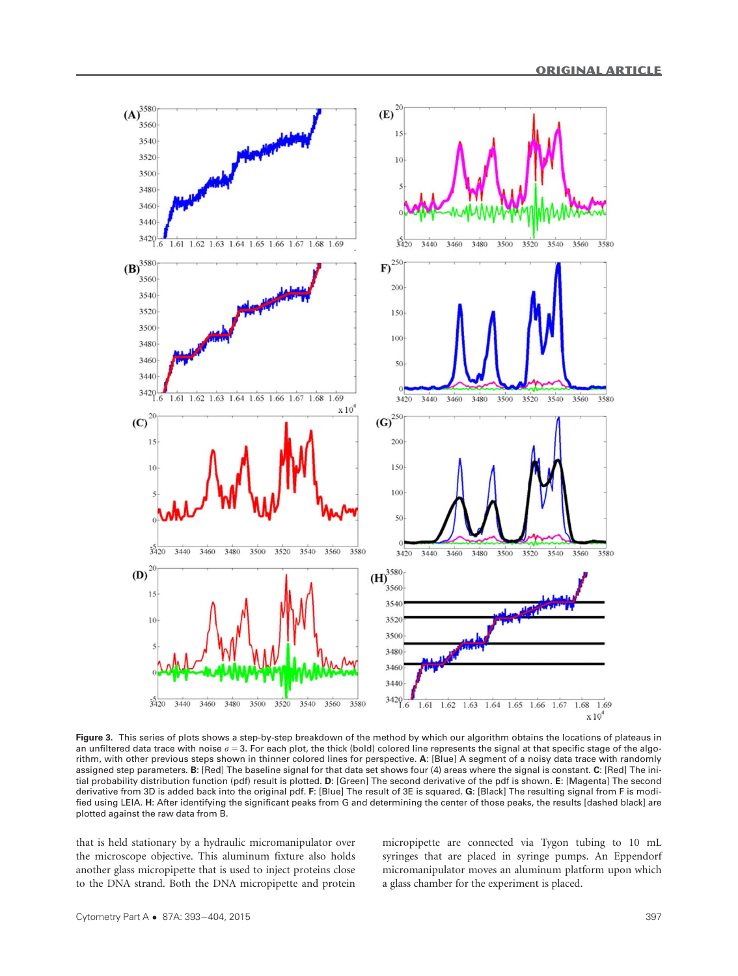

Figure 3. This series of plots shows a step-by-step breakdown of the method by which our algorithm obtains the locations of plateaus in an unfiltered data trace with noise  $\sigma$  = 3. For each plot, the thick (bold) colored line represents the signal at that specific stage of the algorithm, with other previous steps shown in thinner colored lines for perspective. A: [Blue] A segment of a noisy data trace with randomly assigned step parameters. B: [Red] The baseline signal for that data set shows four (4) areas where the signal is constant. C: [Red] The initial probability distribution function (pdf) result is plotted. D: [Green] The second derivative of the pdf is shown. E: [Magenta] The second derivative from 3D is added back into the original pdf. F: [Blue] The result of 3E is squared. G: [Black] The resulting signal from F is modified using LEIA. H: After identifying the significant peaks from G and determining the center of those peaks, the results [dashed black] are plotted against the raw data from B.

that is held stationary by a hydraulic micromanipulator over the microscope objective. This aluminum fixture also holds another glass micropipette that is used to inject proteins close to the DNA strand. Both the DNA micropipette and protein

micropipette are connected via Tygon tubing to 10 mL syringes that are placed in syringe pumps. An Eppendorf micromanipulator moves an aluminum platform upon which a glass chamber for the experiment is placed.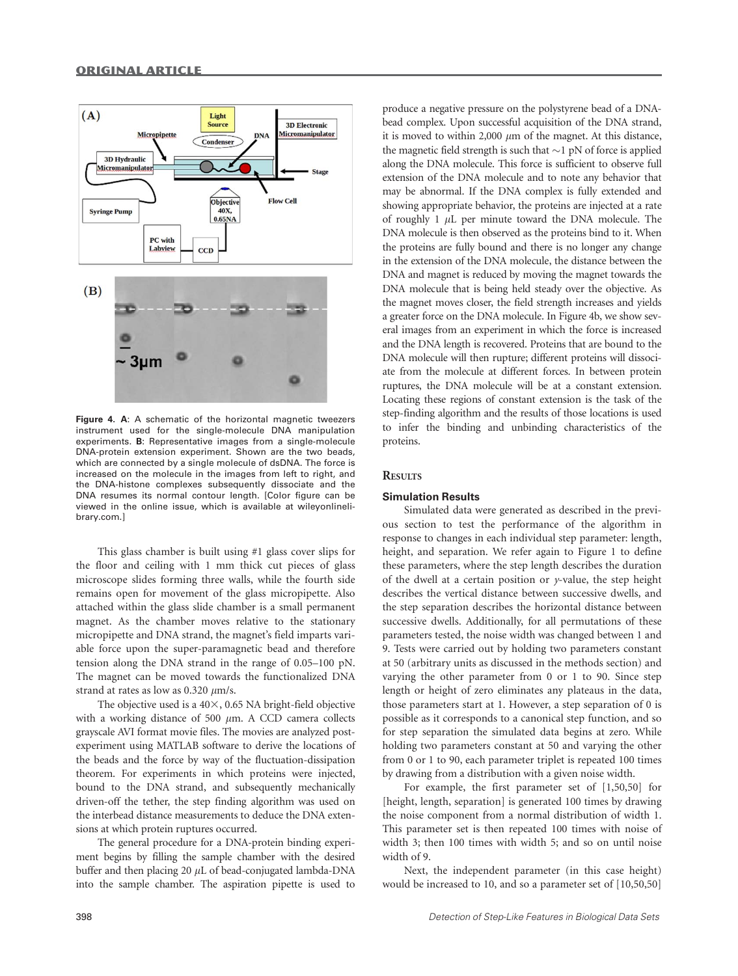

Figure 4. A: A schematic of the horizontal magnetic tweezers instrument used for the single-molecule DNA manipulation experiments. B: Representative images from a single-molecule DNA-protein extension experiment. Shown are the two beads, which are connected by a single molecule of dsDNA. The force is increased on the molecule in the images from left to right, and the DNA-histone complexes subsequently dissociate and the DNA resumes its normal contour length. [Color figure can be viewed in the online issue, which is available at [wileyonlineli](http://wileyonlinelibrary.com)[brary.com](http://wileyonlinelibrary.com).]

This glass chamber is built using #1 glass cover slips for the floor and ceiling with 1 mm thick cut pieces of glass microscope slides forming three walls, while the fourth side remains open for movement of the glass micropipette. Also attached within the glass slide chamber is a small permanent magnet. As the chamber moves relative to the stationary micropipette and DNA strand, the magnet's field imparts variable force upon the super-paramagnetic bead and therefore tension along the DNA strand in the range of 0.05–100 pN. The magnet can be moved towards the functionalized DNA strand at rates as low as  $0.320 \mu m/s$ .

The objective used is a  $40\times$ , 0.65 NA bright-field objective with a working distance of 500  $\mu$ m. A CCD camera collects grayscale AVI format movie files. The movies are analyzed postexperiment using MATLAB software to derive the locations of the beads and the force by way of the fluctuation-dissipation theorem. For experiments in which proteins were injected, bound to the DNA strand, and subsequently mechanically driven-off the tether, the step finding algorithm was used on the interbead distance measurements to deduce the DNA extensions at which protein ruptures occurred.

The general procedure for a DNA-protein binding experiment begins by filling the sample chamber with the desired buffer and then placing 20  $\mu$ L of bead-conjugated lambda-DNA into the sample chamber. The aspiration pipette is used to

produce a negative pressure on the polystyrene bead of a DNAbead complex. Upon successful acquisition of the DNA strand, it is moved to within 2,000  $\mu$ m of the magnet. At this distance, the magnetic field strength is such that  $\sim$ 1 pN of force is applied along the DNA molecule. This force is sufficient to observe full extension of the DNA molecule and to note any behavior that may be abnormal. If the DNA complex is fully extended and showing appropriate behavior, the proteins are injected at a rate of roughly 1  $\mu$ L per minute toward the DNA molecule. The DNA molecule is then observed as the proteins bind to it. When the proteins are fully bound and there is no longer any change in the extension of the DNA molecule, the distance between the DNA and magnet is reduced by moving the magnet towards the DNA molecule that is being held steady over the objective. As the magnet moves closer, the field strength increases and yields a greater force on the DNA molecule. In Figure 4b, we show several images from an experiment in which the force is increased and the DNA length is recovered. Proteins that are bound to the DNA molecule will then rupture; different proteins will dissociate from the molecule at different forces. In between protein ruptures, the DNA molecule will be at a constant extension. Locating these regions of constant extension is the task of the step-finding algorithm and the results of those locations is used to infer the binding and unbinding characteristics of the proteins.

# **RESULTS**

## Simulation Results

Simulated data were generated as described in the previous section to test the performance of the algorithm in response to changes in each individual step parameter: length, height, and separation. We refer again to Figure 1 to define these parameters, where the step length describes the duration of the dwell at a certain position or  $y$ -value, the step height describes the vertical distance between successive dwells, and the step separation describes the horizontal distance between successive dwells. Additionally, for all permutations of these parameters tested, the noise width was changed between 1 and 9. Tests were carried out by holding two parameters constant at 50 (arbitrary units as discussed in the methods section) and varying the other parameter from 0 or 1 to 90. Since step length or height of zero eliminates any plateaus in the data, those parameters start at 1. However, a step separation of 0 is possible as it corresponds to a canonical step function, and so for step separation the simulated data begins at zero. While holding two parameters constant at 50 and varying the other from 0 or 1 to 90, each parameter triplet is repeated 100 times by drawing from a distribution with a given noise width.

For example, the first parameter set of [1,50,50] for [height, length, separation] is generated 100 times by drawing the noise component from a normal distribution of width 1. This parameter set is then repeated 100 times with noise of width 3; then 100 times with width 5; and so on until noise width of 9.

Next, the independent parameter (in this case height) would be increased to 10, and so a parameter set of [10,50,50]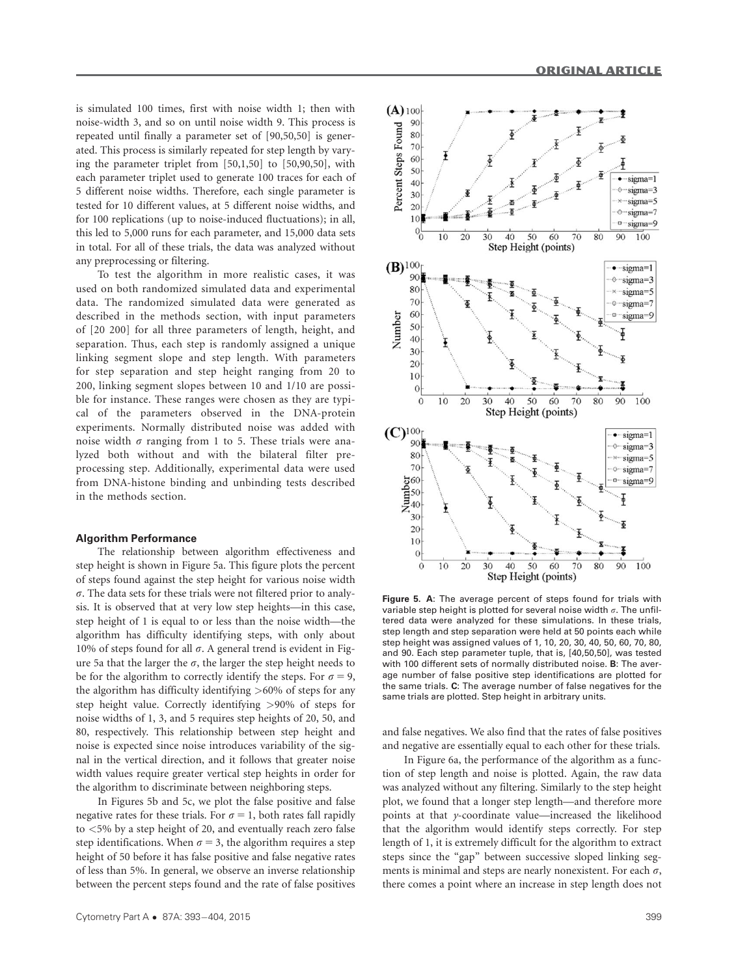is simulated 100 times, first with noise width 1; then with noise-width 3, and so on until noise width 9. This process is repeated until finally a parameter set of [90,50,50] is generated. This process is similarly repeated for step length by varying the parameter triplet from [50,1,50] to [50,90,50], with each parameter triplet used to generate 100 traces for each of 5 different noise widths. Therefore, each single parameter is tested for 10 different values, at 5 different noise widths, and for 100 replications (up to noise-induced fluctuations); in all, this led to 5,000 runs for each parameter, and 15,000 data sets in total. For all of these trials, the data was analyzed without any preprocessing or filtering.

To test the algorithm in more realistic cases, it was used on both randomized simulated data and experimental data. The randomized simulated data were generated as described in the methods section, with input parameters of [20 200] for all three parameters of length, height, and separation. Thus, each step is randomly assigned a unique linking segment slope and step length. With parameters for step separation and step height ranging from 20 to 200, linking segment slopes between 10 and 1/10 are possible for instance. These ranges were chosen as they are typical of the parameters observed in the DNA-protein experiments. Normally distributed noise was added with noise width  $\sigma$  ranging from 1 to 5. These trials were analyzed both without and with the bilateral filter preprocessing step. Additionally, experimental data were used from DNA-histone binding and unbinding tests described in the methods section.

#### Algorithm Performance

The relationship between algorithm effectiveness and step height is shown in Figure 5a. This figure plots the percent of steps found against the step height for various noise width  $\sigma$ . The data sets for these trials were not filtered prior to analysis. It is observed that at very low step heights—in this case, step height of 1 is equal to or less than the noise width—the algorithm has difficulty identifying steps, with only about 10% of steps found for all  $\sigma$ . A general trend is evident in Figure 5a that the larger the  $\sigma$ , the larger the step height needs to be for the algorithm to correctly identify the steps. For  $\sigma = 9$ , the algorithm has difficulty identifying >60% of steps for any step height value. Correctly identifying >90% of steps for noise widths of 1, 3, and 5 requires step heights of 20, 50, and 80, respectively. This relationship between step height and noise is expected since noise introduces variability of the signal in the vertical direction, and it follows that greater noise width values require greater vertical step heights in order for the algorithm to discriminate between neighboring steps.

In Figures 5b and 5c, we plot the false positive and false negative rates for these trials. For  $\sigma = 1$ , both rates fall rapidly to <5% by a step height of 20, and eventually reach zero false step identifications. When  $\sigma = 3$ , the algorithm requires a step height of 50 before it has false positive and false negative rates of less than 5%. In general, we observe an inverse relationship between the percent steps found and the rate of false positives



Figure 5. A: The average percent of steps found for trials with variable step height is plotted for several noise width  $\sigma$ . The unfiltered data were analyzed for these simulations. In these trials, step length and step separation were held at 50 points each while step height was assigned values of 1, 10, 20, 30, 40, 50, 60, 70, 80, and 90. Each step parameter tuple, that is, [40,50,50], was tested with 100 different sets of normally distributed noise. **B**: The average number of false positive step identifications are plotted for the same trials. C: The average number of false negatives for the same trials are plotted. Step height in arbitrary units.

and false negatives. We also find that the rates of false positives and negative are essentially equal to each other for these trials.

In Figure 6a, the performance of the algorithm as a function of step length and noise is plotted. Again, the raw data was analyzed without any filtering. Similarly to the step height plot, we found that a longer step length—and therefore more points at that y-coordinate value—increased the likelihood that the algorithm would identify steps correctly. For step length of 1, it is extremely difficult for the algorithm to extract steps since the "gap" between successive sloped linking segments is minimal and steps are nearly nonexistent. For each  $\sigma$ , there comes a point where an increase in step length does not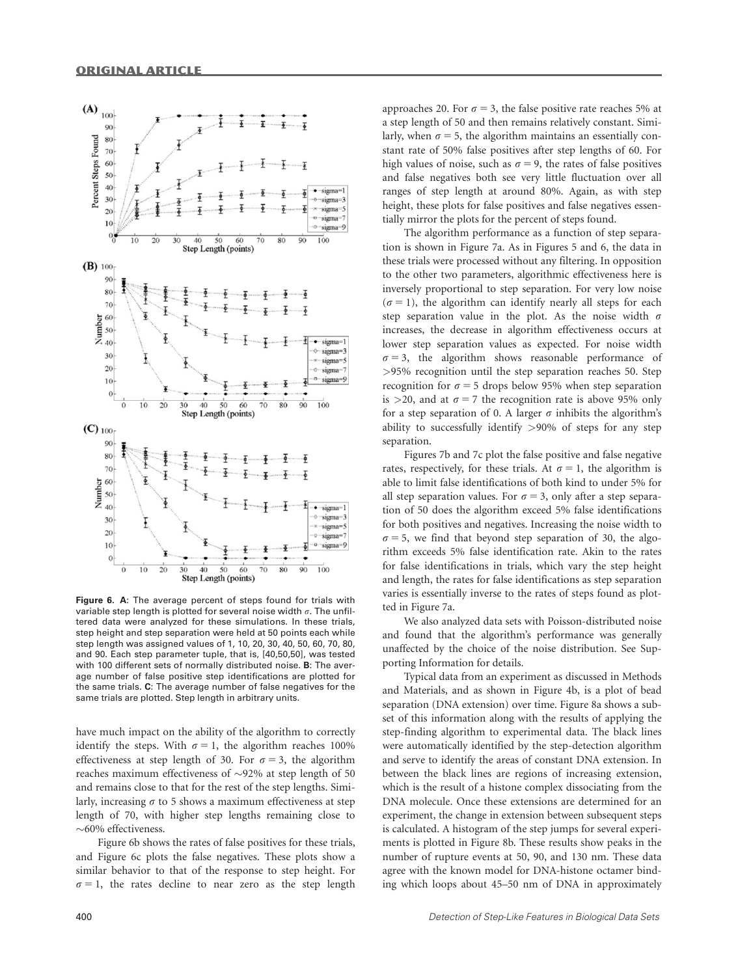

Figure 6. A: The average percent of steps found for trials with variable step length is plotted for several noise width  $\sigma$ . The unfiltered data were analyzed for these simulations. In these trials, step height and step separation were held at 50 points each while step length was assigned values of 1, 10, 20, 30, 40, 50, 60, 70, 80, and 90. Each step parameter tuple, that is, [40,50,50], was tested with 100 different sets of normally distributed noise. B: The average number of false positive step identifications are plotted for the same trials. C: The average number of false negatives for the same trials are plotted. Step length in arbitrary units.

have much impact on the ability of the algorithm to correctly identify the steps. With  $\sigma = 1$ , the algorithm reaches 100% effectiveness at step length of 30. For  $\sigma = 3$ , the algorithm reaches maximum effectiveness of  $\sim$ 92% at step length of 50 and remains close to that for the rest of the step lengths. Similarly, increasing  $\sigma$  to 5 shows a maximum effectiveness at step length of 70, with higher step lengths remaining close to  $\sim$  60% effectiveness.

Figure 6b shows the rates of false positives for these trials, and Figure 6c plots the false negatives. These plots show a similar behavior to that of the response to step height. For  $\sigma = 1$ , the rates decline to near zero as the step length

approaches 20. For  $\sigma = 3$ , the false positive rate reaches 5% at a step length of 50 and then remains relatively constant. Similarly, when  $\sigma = 5$ , the algorithm maintains an essentially constant rate of 50% false positives after step lengths of 60. For high values of noise, such as  $\sigma = 9$ , the rates of false positives and false negatives both see very little fluctuation over all ranges of step length at around 80%. Again, as with step height, these plots for false positives and false negatives essentially mirror the plots for the percent of steps found.

The algorithm performance as a function of step separation is shown in Figure 7a. As in Figures 5 and 6, the data in these trials were processed without any filtering. In opposition to the other two parameters, algorithmic effectiveness here is inversely proportional to step separation. For very low noise  $(\sigma = 1)$ , the algorithm can identify nearly all steps for each step separation value in the plot. As the noise width  $\sigma$ increases, the decrease in algorithm effectiveness occurs at lower step separation values as expected. For noise width  $\sigma = 3$ , the algorithm shows reasonable performance of >95% recognition until the step separation reaches 50. Step recognition for  $\sigma = 5$  drops below 95% when step separation is >20, and at  $\sigma$  = 7 the recognition rate is above 95% only for a step separation of 0. A larger  $\sigma$  inhibits the algorithm's ability to successfully identify >90% of steps for any step separation.

Figures 7b and 7c plot the false positive and false negative rates, respectively, for these trials. At  $\sigma = 1$ , the algorithm is able to limit false identifications of both kind to under 5% for all step separation values. For  $\sigma = 3$ , only after a step separation of 50 does the algorithm exceed 5% false identifications for both positives and negatives. Increasing the noise width to  $\sigma$  = 5, we find that beyond step separation of 30, the algorithm exceeds 5% false identification rate. Akin to the rates for false identifications in trials, which vary the step height and length, the rates for false identifications as step separation varies is essentially inverse to the rates of steps found as plotted in Figure 7a.

We also analyzed data sets with Poisson-distributed noise and found that the algorithm's performance was generally unaffected by the choice of the noise distribution. See Supporting Information for details.

Typical data from an experiment as discussed in Methods and Materials, and as shown in Figure 4b, is a plot of bead separation (DNA extension) over time. Figure 8a shows a subset of this information along with the results of applying the step-finding algorithm to experimental data. The black lines were automatically identified by the step-detection algorithm and serve to identify the areas of constant DNA extension. In between the black lines are regions of increasing extension, which is the result of a histone complex dissociating from the DNA molecule. Once these extensions are determined for an experiment, the change in extension between subsequent steps is calculated. A histogram of the step jumps for several experiments is plotted in Figure 8b. These results show peaks in the number of rupture events at 50, 90, and 130 nm. These data agree with the known model for DNA-histone octamer binding which loops about 45–50 nm of DNA in approximately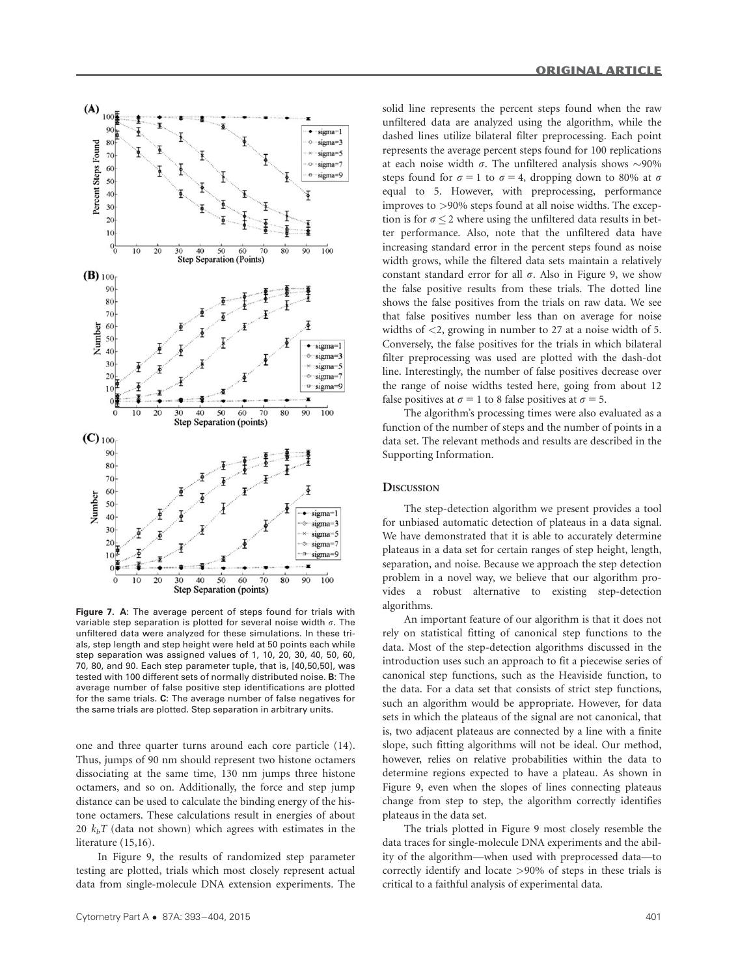

Figure 7. A: The average percent of steps found for trials with variable step separation is plotted for several noise width  $\sigma$ . The unfiltered data were analyzed for these simulations. In these trials, step length and step height were held at 50 points each while step separation was assigned values of 1, 10, 20, 30, 40, 50, 60, 70, 80, and 90. Each step parameter tuple, that is, [40,50,50], was tested with 100 different sets of normally distributed noise. B: The average number of false positive step identifications are plotted for the same trials. C: The average number of false negatives for the same trials are plotted. Step separation in arbitrary units.

one and three quarter turns around each core particle (14). Thus, jumps of 90 nm should represent two histone octamers dissociating at the same time, 130 nm jumps three histone octamers, and so on. Additionally, the force and step jump distance can be used to calculate the binding energy of the histone octamers. These calculations result in energies of about 20  $k_bT$  (data not shown) which agrees with estimates in the literature (15,16).

In Figure 9, the results of randomized step parameter testing are plotted, trials which most closely represent actual data from single-molecule DNA extension experiments. The solid line represents the percent steps found when the raw unfiltered data are analyzed using the algorithm, while the dashed lines utilize bilateral filter preprocessing. Each point represents the average percent steps found for 100 replications at each noise width  $\sigma$ . The unfiltered analysis shows  $\sim$ 90% steps found for  $\sigma = 1$  to  $\sigma = 4$ , dropping down to 80% at  $\sigma$ equal to 5. However, with preprocessing, performance improves to >90% steps found at all noise widths. The exception is for  $\sigma \leq 2$  where using the unfiltered data results in better performance. Also, note that the unfiltered data have increasing standard error in the percent steps found as noise width grows, while the filtered data sets maintain a relatively constant standard error for all  $\sigma$ . Also in Figure 9, we show the false positive results from these trials. The dotted line shows the false positives from the trials on raw data. We see that false positives number less than on average for noise widths of <2, growing in number to 27 at a noise width of 5. Conversely, the false positives for the trials in which bilateral filter preprocessing was used are plotted with the dash-dot line. Interestingly, the number of false positives decrease over the range of noise widths tested here, going from about 12 false positives at  $\sigma = 1$  to 8 false positives at  $\sigma = 5$ .

The algorithm's processing times were also evaluated as a function of the number of steps and the number of points in a data set. The relevant methods and results are described in the Supporting Information.

# **DISCUSSION**

The step-detection algorithm we present provides a tool for unbiased automatic detection of plateaus in a data signal. We have demonstrated that it is able to accurately determine plateaus in a data set for certain ranges of step height, length, separation, and noise. Because we approach the step detection problem in a novel way, we believe that our algorithm provides a robust alternative to existing step-detection algorithms.

An important feature of our algorithm is that it does not rely on statistical fitting of canonical step functions to the data. Most of the step-detection algorithms discussed in the introduction uses such an approach to fit a piecewise series of canonical step functions, such as the Heaviside function, to the data. For a data set that consists of strict step functions, such an algorithm would be appropriate. However, for data sets in which the plateaus of the signal are not canonical, that is, two adjacent plateaus are connected by a line with a finite slope, such fitting algorithms will not be ideal. Our method, however, relies on relative probabilities within the data to determine regions expected to have a plateau. As shown in Figure 9, even when the slopes of lines connecting plateaus change from step to step, the algorithm correctly identifies plateaus in the data set.

The trials plotted in Figure 9 most closely resemble the data traces for single-molecule DNA experiments and the ability of the algorithm—when used with preprocessed data—to correctly identify and locate >90% of steps in these trials is critical to a faithful analysis of experimental data.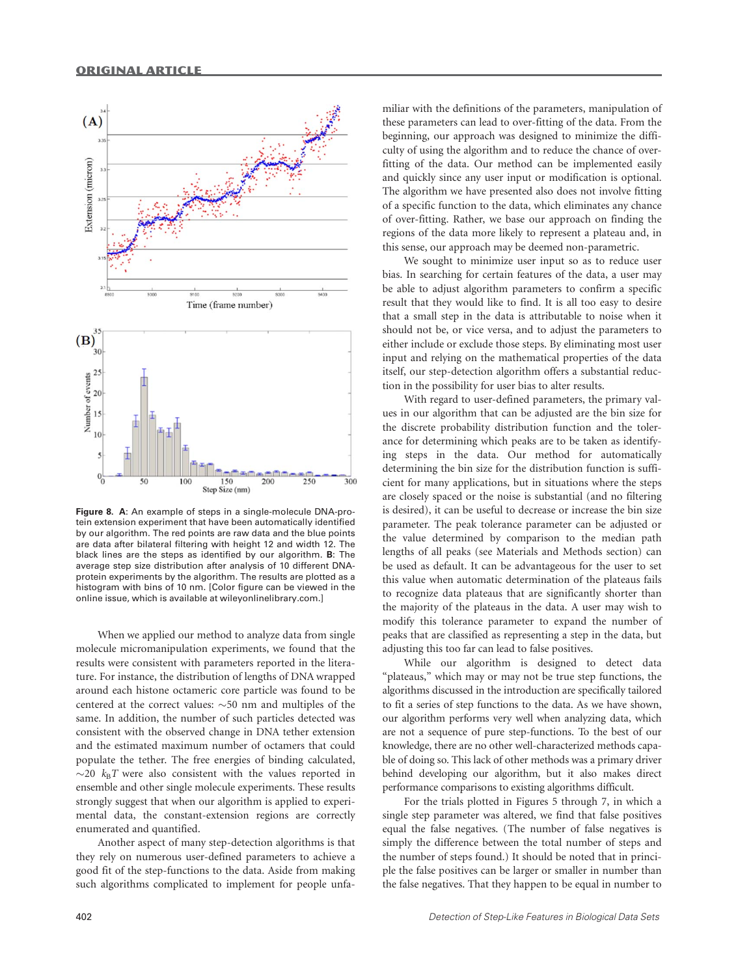

Figure 8. A: An example of steps in a single-molecule DNA-protein extension experiment that have been automatically identified by our algorithm. The red points are raw data and the blue points are data after bilateral filtering with height 12 and width 12. The black lines are the steps as identified by our algorithm. B: The average step size distribution after analysis of 10 different DNAprotein experiments by the algorithm. The results are plotted as a histogram with bins of 10 nm. [Color figure can be viewed in the online issue, which is available at [wileyonlinelibrary.com.](http://wileyonlinelibrary.com)]

When we applied our method to analyze data from single molecule micromanipulation experiments, we found that the results were consistent with parameters reported in the literature. For instance, the distribution of lengths of DNA wrapped around each histone octameric core particle was found to be centered at the correct values:  $\sim$  50 nm and multiples of the same. In addition, the number of such particles detected was consistent with the observed change in DNA tether extension and the estimated maximum number of octamers that could populate the tether. The free energies of binding calculated,  $\sim$ 20  $k_BT$  were also consistent with the values reported in ensemble and other single molecule experiments. These results strongly suggest that when our algorithm is applied to experimental data, the constant-extension regions are correctly enumerated and quantified.

Another aspect of many step-detection algorithms is that they rely on numerous user-defined parameters to achieve a good fit of the step-functions to the data. Aside from making such algorithms complicated to implement for people unfa-

miliar with the definitions of the parameters, manipulation of these parameters can lead to over-fitting of the data. From the beginning, our approach was designed to minimize the difficulty of using the algorithm and to reduce the chance of overfitting of the data. Our method can be implemented easily and quickly since any user input or modification is optional. The algorithm we have presented also does not involve fitting of a specific function to the data, which eliminates any chance of over-fitting. Rather, we base our approach on finding the regions of the data more likely to represent a plateau and, in this sense, our approach may be deemed non-parametric.

We sought to minimize user input so as to reduce user bias. In searching for certain features of the data, a user may be able to adjust algorithm parameters to confirm a specific result that they would like to find. It is all too easy to desire that a small step in the data is attributable to noise when it should not be, or vice versa, and to adjust the parameters to either include or exclude those steps. By eliminating most user input and relying on the mathematical properties of the data itself, our step-detection algorithm offers a substantial reduction in the possibility for user bias to alter results.

With regard to user-defined parameters, the primary values in our algorithm that can be adjusted are the bin size for the discrete probability distribution function and the tolerance for determining which peaks are to be taken as identifying steps in the data. Our method for automatically determining the bin size for the distribution function is sufficient for many applications, but in situations where the steps are closely spaced or the noise is substantial (and no filtering is desired), it can be useful to decrease or increase the bin size parameter. The peak tolerance parameter can be adjusted or the value determined by comparison to the median path lengths of all peaks (see Materials and Methods section) can be used as default. It can be advantageous for the user to set this value when automatic determination of the plateaus fails to recognize data plateaus that are significantly shorter than the majority of the plateaus in the data. A user may wish to modify this tolerance parameter to expand the number of peaks that are classified as representing a step in the data, but adjusting this too far can lead to false positives.

While our algorithm is designed to detect data "plateaus," which may or may not be true step functions, the algorithms discussed in the introduction are specifically tailored to fit a series of step functions to the data. As we have shown, our algorithm performs very well when analyzing data, which are not a sequence of pure step-functions. To the best of our knowledge, there are no other well-characterized methods capable of doing so. This lack of other methods was a primary driver behind developing our algorithm, but it also makes direct performance comparisons to existing algorithms difficult.

For the trials plotted in Figures 5 through 7, in which a single step parameter was altered, we find that false positives equal the false negatives. (The number of false negatives is simply the difference between the total number of steps and the number of steps found.) It should be noted that in principle the false positives can be larger or smaller in number than the false negatives. That they happen to be equal in number to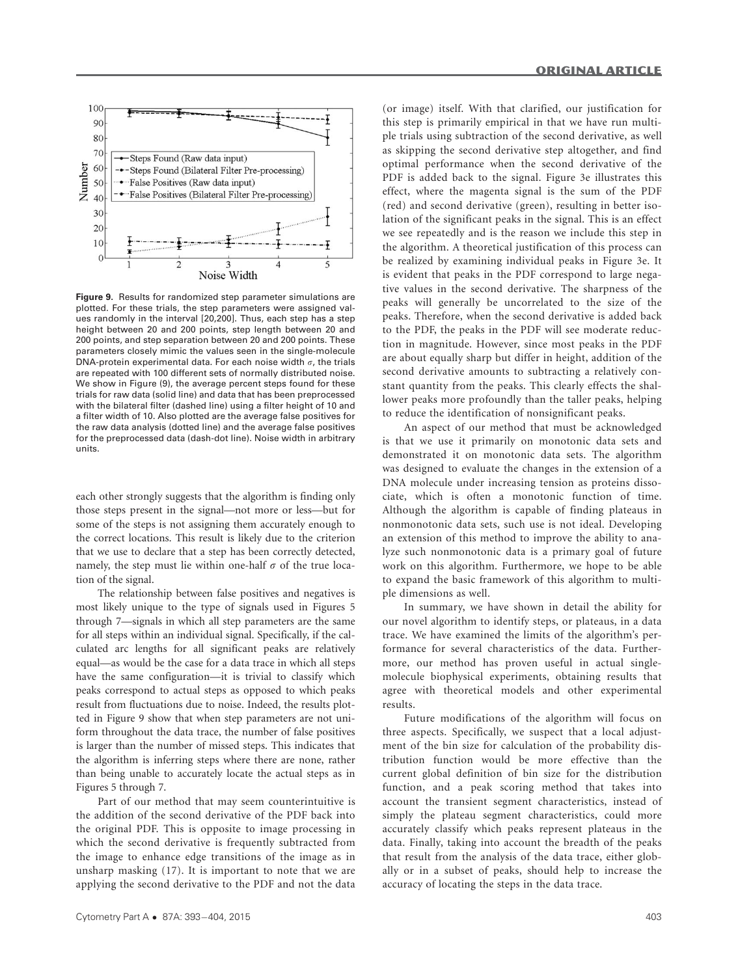

Figure 9. Results for randomized step parameter simulations are plotted. For these trials, the step parameters were assigned values randomly in the interval [20,200]. Thus, each step has a step height between 20 and 200 points, step length between 20 and 200 points, and step separation between 20 and 200 points. These parameters closely mimic the values seen in the single-molecule DNA-protein experimental data. For each noise width  $\sigma$ , the trials are repeated with 100 different sets of normally distributed noise. We show in Figure (9), the average percent steps found for these trials for raw data (solid line) and data that has been preprocessed with the bilateral filter (dashed line) using a filter height of 10 and a filter width of 10. Also plotted are the average false positives for the raw data analysis (dotted line) and the average false positives for the preprocessed data (dash-dot line). Noise width in arbitrary units.

each other strongly suggests that the algorithm is finding only those steps present in the signal—not more or less—but for some of the steps is not assigning them accurately enough to the correct locations. This result is likely due to the criterion that we use to declare that a step has been correctly detected, namely, the step must lie within one-half  $\sigma$  of the true location of the signal.

The relationship between false positives and negatives is most likely unique to the type of signals used in Figures 5 through 7—signals in which all step parameters are the same for all steps within an individual signal. Specifically, if the calculated arc lengths for all significant peaks are relatively equal—as would be the case for a data trace in which all steps have the same configuration—it is trivial to classify which peaks correspond to actual steps as opposed to which peaks result from fluctuations due to noise. Indeed, the results plotted in Figure 9 show that when step parameters are not uniform throughout the data trace, the number of false positives is larger than the number of missed steps. This indicates that the algorithm is inferring steps where there are none, rather than being unable to accurately locate the actual steps as in Figures 5 through 7.

Part of our method that may seem counterintuitive is the addition of the second derivative of the PDF back into the original PDF. This is opposite to image processing in which the second derivative is frequently subtracted from the image to enhance edge transitions of the image as in unsharp masking (17). It is important to note that we are applying the second derivative to the PDF and not the data

(or image) itself. With that clarified, our justification for this step is primarily empirical in that we have run multiple trials using subtraction of the second derivative, as well as skipping the second derivative step altogether, and find optimal performance when the second derivative of the PDF is added back to the signal. Figure 3e illustrates this effect, where the magenta signal is the sum of the PDF (red) and second derivative (green), resulting in better isolation of the significant peaks in the signal. This is an effect we see repeatedly and is the reason we include this step in the algorithm. A theoretical justification of this process can be realized by examining individual peaks in Figure 3e. It is evident that peaks in the PDF correspond to large negative values in the second derivative. The sharpness of the peaks will generally be uncorrelated to the size of the peaks. Therefore, when the second derivative is added back to the PDF, the peaks in the PDF will see moderate reduction in magnitude. However, since most peaks in the PDF are about equally sharp but differ in height, addition of the second derivative amounts to subtracting a relatively constant quantity from the peaks. This clearly effects the shallower peaks more profoundly than the taller peaks, helping to reduce the identification of nonsignificant peaks.

An aspect of our method that must be acknowledged is that we use it primarily on monotonic data sets and demonstrated it on monotonic data sets. The algorithm was designed to evaluate the changes in the extension of a DNA molecule under increasing tension as proteins dissociate, which is often a monotonic function of time. Although the algorithm is capable of finding plateaus in nonmonotonic data sets, such use is not ideal. Developing an extension of this method to improve the ability to analyze such nonmonotonic data is a primary goal of future work on this algorithm. Furthermore, we hope to be able to expand the basic framework of this algorithm to multiple dimensions as well.

In summary, we have shown in detail the ability for our novel algorithm to identify steps, or plateaus, in a data trace. We have examined the limits of the algorithm's performance for several characteristics of the data. Furthermore, our method has proven useful in actual singlemolecule biophysical experiments, obtaining results that agree with theoretical models and other experimental results.

Future modifications of the algorithm will focus on three aspects. Specifically, we suspect that a local adjustment of the bin size for calculation of the probability distribution function would be more effective than the current global definition of bin size for the distribution function, and a peak scoring method that takes into account the transient segment characteristics, instead of simply the plateau segment characteristics, could more accurately classify which peaks represent plateaus in the data. Finally, taking into account the breadth of the peaks that result from the analysis of the data trace, either globally or in a subset of peaks, should help to increase the accuracy of locating the steps in the data trace.